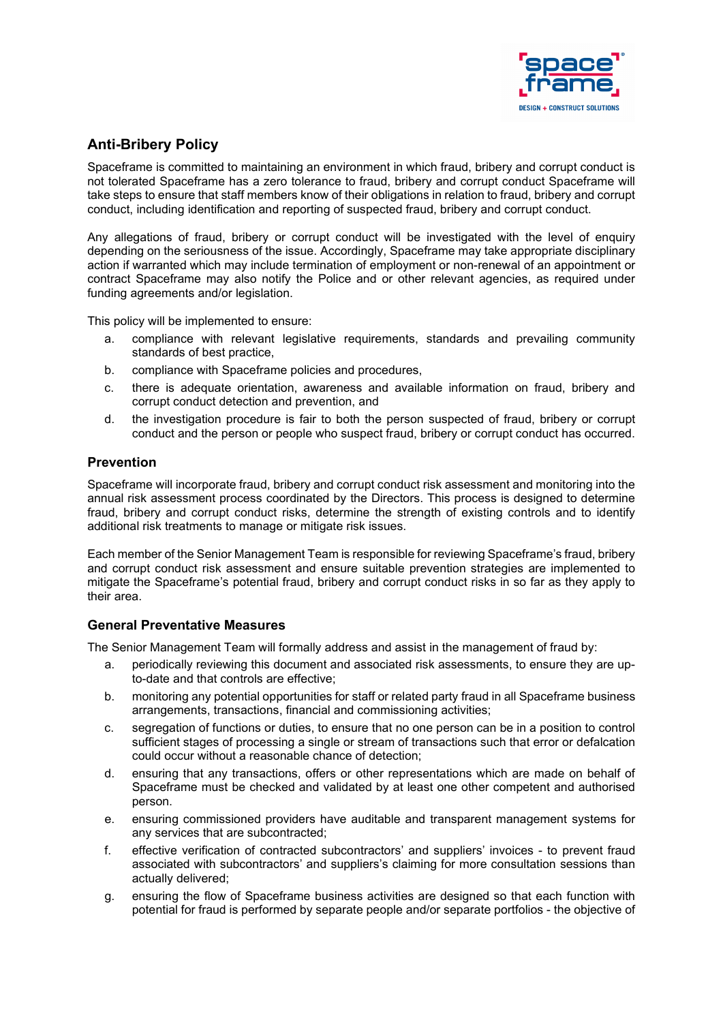

# **Anti-Bribery Policy**

Spaceframe is committed to maintaining an environment in which fraud, bribery and corrupt conduct is not tolerated Spaceframe has a zero tolerance to fraud, bribery and corrupt conduct Spaceframe will take steps to ensure that staff members know of their obligations in relation to fraud, bribery and corrupt conduct, including identification and reporting of suspected fraud, bribery and corrupt conduct.

Any allegations of fraud, bribery or corrupt conduct will be investigated with the level of enquiry depending on the seriousness of the issue. Accordingly, Spaceframe may take appropriate disciplinary action if warranted which may include termination of employment or non-renewal of an appointment or contract Spaceframe may also notify the Police and or other relevant agencies, as required under funding agreements and/or legislation.

This policy will be implemented to ensure:

- a. compliance with relevant legislative requirements, standards and prevailing community standards of best practice,
- b. compliance with Spaceframe policies and procedures,
- c. there is adequate orientation, awareness and available information on fraud, bribery and corrupt conduct detection and prevention, and
- d. the investigation procedure is fair to both the person suspected of fraud, bribery or corrupt conduct and the person or people who suspect fraud, bribery or corrupt conduct has occurred.

## **Prevention**

Spaceframe will incorporate fraud, bribery and corrupt conduct risk assessment and monitoring into the annual risk assessment process coordinated by the Directors. This process is designed to determine fraud, bribery and corrupt conduct risks, determine the strength of existing controls and to identify additional risk treatments to manage or mitigate risk issues.

Each member of the Senior Management Team is responsible for reviewing Spaceframe's fraud, bribery and corrupt conduct risk assessment and ensure suitable prevention strategies are implemented to mitigate the Spaceframe's potential fraud, bribery and corrupt conduct risks in so far as they apply to their area.

### **General Preventative Measures**

The Senior Management Team will formally address and assist in the management of fraud by:

- a. periodically reviewing this document and associated risk assessments, to ensure they are upto-date and that controls are effective;
- b. monitoring any potential opportunities for staff or related party fraud in all Spaceframe business arrangements, transactions, financial and commissioning activities;
- c. segregation of functions or duties, to ensure that no one person can be in a position to control sufficient stages of processing a single or stream of transactions such that error or defalcation could occur without a reasonable chance of detection;
- d. ensuring that any transactions, offers or other representations which are made on behalf of Spaceframe must be checked and validated by at least one other competent and authorised person.
- e. ensuring commissioned providers have auditable and transparent management systems for any services that are subcontracted;
- f. effective verification of contracted subcontractors' and suppliers' invoices to prevent fraud associated with subcontractors' and suppliers's claiming for more consultation sessions than actually delivered;
- g. ensuring the flow of Spaceframe business activities are designed so that each function with potential for fraud is performed by separate people and/or separate portfolios - the objective of